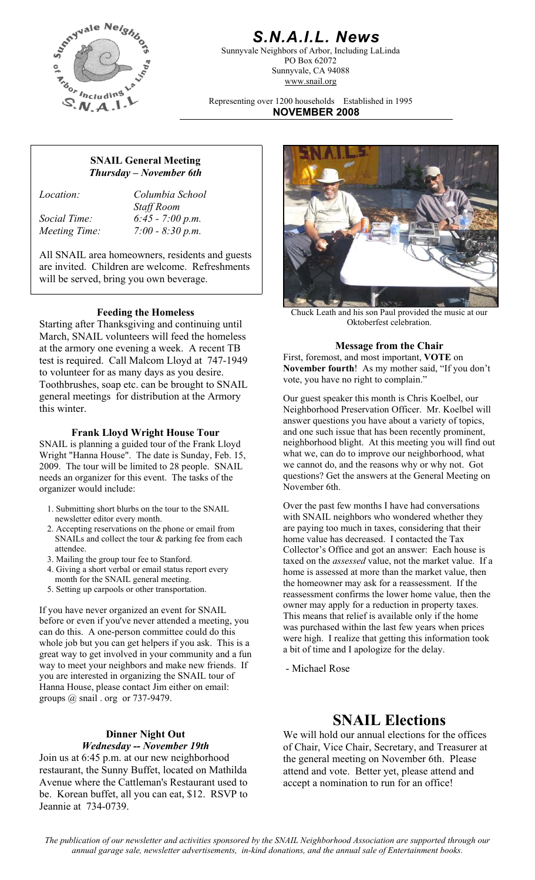

# *S.N.A.I.L. News*

Sunnyvale Neighbors of Arbor, Including LaLinda PO Box 62072 Sunnyvale, CA 94088 www.snail.org

Representing over 1200 households Established in 1995 **NOVEMBER 2008**

# **SNAIL General Meeting**  *Thursday – November 6th*

*Location: Columbia School Staff Room Social Time: 6:45 - 7:00 p.m. Meeting Time: 7:00 - 8:30 p.m.* 

All SNAIL area homeowners, residents and guests are invited. Children are welcome. Refreshments will be served, bring you own beverage.

Starting after Thanksgiving and continuing until March, SNAIL volunteers will feed the homeless at the armory one evening a week. A recent TB test is required. Call Malcom Lloyd at 747-1949 to volunteer for as many days as you desire. Toothbrushes, soap etc. can be brought to SNAIL general meetings for distribution at the Armory this winter.

### **Frank Lloyd Wright House Tour**

SNAIL is planning a guided tour of the Frank Lloyd Wright "Hanna House". The date is Sunday, Feb. 15, 2009. The tour will be limited to 28 people. SNAIL needs an organizer for this event. The tasks of the organizer would include:

- 1. Submitting short blurbs on the tour to the SNAIL newsletter editor every month.
- 2. Accepting reservations on the phone or email from SNAILs and collect the tour & parking fee from each attendee.
- 3. Mailing the group tour fee to Stanford.
- 4. Giving a short verbal or email status report every month for the SNAIL general meeting.
- 5. Setting up carpools or other transportation.

If you have never organized an event for SNAIL before or even if you've never attended a meeting, you can do this. A one-person committee could do this whole job but you can get helpers if you ask. This is a great way to get involved in your community and a fun way to meet your neighbors and make new friends. If you are interested in organizing the SNAIL tour of Hanna House, please contact Jim either on email: groups @ snail . org or 737-9479.

## **Dinner Night Out**  *Wednesday -- November 19th*

Join us at 6:45 p.m. at our new neighborhood restaurant, the Sunny Buffet, located on Mathilda Avenue where the Cattleman's Restaurant used to be. Korean buffet, all you can eat, \$12. RSVP to Jeannie at 734-0739.



**Feeding the Homeless**<br> **Feeding the Homeless**<br>
Chuck Leath and his son Paul provided the music at our<br>
Oktoberfest celebration.

#### **Message from the Chair**

First, foremost, and most important, **VOTE** on **November fourth**! As my mother said, "If you don't vote, you have no right to complain."

Our guest speaker this month is Chris Koelbel, our Neighborhood Preservation Officer. Mr. Koelbel will answer questions you have about a variety of topics, and one such issue that has been recently prominent, neighborhood blight. At this meeting you will find out what we, can do to improve our neighborhood, what we cannot do, and the reasons why or why not. Got questions? Get the answers at the General Meeting on November 6th.

Over the past few months I have had conversations with SNAIL neighbors who wondered whether they are paying too much in taxes, considering that their home value has decreased. I contacted the Tax Collector's Office and got an answer: Each house is taxed on the *assessed* value, not the market value. If a home is assessed at more than the market value, then the homeowner may ask for a reassessment. If the reassessment confirms the lower home value, then the owner may apply for a reduction in property taxes. This means that relief is available only if the home was purchased within the last few years when prices were high. I realize that getting this information took a bit of time and I apologize for the delay.

- Michael Rose

# **SNAIL Elections**

We will hold our annual elections for the offices of Chair, Vice Chair, Secretary, and Treasurer at the general meeting on November 6th. Please attend and vote. Better yet, please attend and accept a nomination to run for an office!

*The publication of our newsletter and activities sponsored by the SNAIL Neighborhood Association are supported through our annual garage sale, newsletter advertisements, in-kind donations, and the annual sale of Entertainment books.*